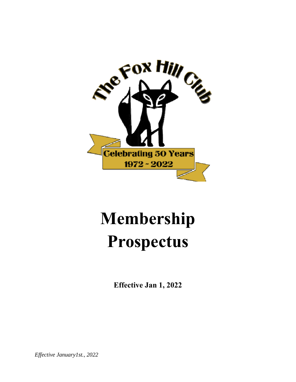

# **M em mbers ship Prospectus**

**Effectiv ve Jan 1, 2022** 

*Effective January1st., 2022*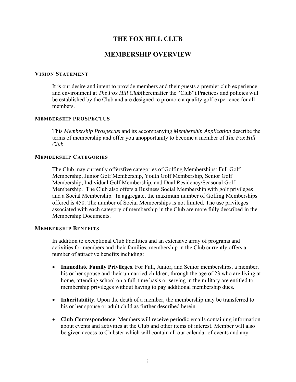# **THE FOX HILL CLUB**

## **MEMBERSHIP OVERVIEW**

#### **VISION STATEMENT**

It is our desire and intent to provide members and their guests a premier club experience and environment at *The Fox Hill Club*(hereinafter the "Club").Practices and policies will be established by the Club and are designed to promote a quality golf experience for all members.

#### **MEMBERSHIP PROSPECTUS**

This *Membership Prospectus* and its accompanying *Membership Application* describe the terms of membership and offer you anopportunity to become a member of *The Fox Hill Club*.

#### **MEMBERSHIP CATEGORIES**

The Club may currently offersfive categories of Golfing Memberships: Full Golf Membership, Junior Golf Membership, Youth Golf Membership, Senior Golf Membership, Individual Golf Membership, and Dual Residency/Seasonal Golf Membership. The Club also offers a Business Social Membership with golf privileges and a Social Membership. In aggregate, the maximum number of Golfing Memberships offered is 450. The number of Social Memberships is not limited. The use privileges associated with each category of membership in the Club are more fully described in the Membership Documents.

#### **MEMBERSHIP BENEFITS**

In addition to exceptional Club Facilities and an extensive array of programs and activities for members and their families, membership in the Club currently offers a number of attractive benefits including:

- **Immediate Family Privileges**. For Full, Junior, and Senior memberships, a member, his or her spouse and their unmarried children, through the age of 23 who are living at home, attending school on a full-time basis or serving in the military are entitled to membership privileges without having to pay additional membership dues.
- **Inheritability**. Upon the death of a member, the membership may be transferred to his or her spouse or adult child as further described herein.
- **Club Correspondence**. Members will receive periodic emails containing information about events and activities at the Club and other items of interest. Member will also be given access to Clubster which will contain all our calendar of events and any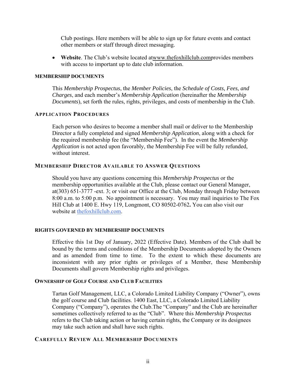Club postings. Here members will be able to sign up for future events and contact other members or staff through direct messaging.

 **Website**. The Club's website located atwww.thefoxhillclub.comprovides members with access to important up to date club information.

#### **MEMBERSHIP DOCUMENTS**

This *Membership Prospectus*, the *Member Policies*, the *Schedule of Costs, Fees, and Charges*, and each member's *Membership Application* (hereinafter the *Membership Documents*), set forth the rules, rights, privileges, and costs of membership in the Club.

#### **APPLICATION PROCEDURES**

Each person who desires to become a member shall mail or deliver to the Membership Director a fully completed and signed *Membership Application*, along with a check for the required membership fee (the "Membership Fee"). In the event the *Membership Application* is not acted upon favorably, the Membership Fee will be fully refunded, without interest.

#### **MEMBERSHIP DIRECTOR AVAILABLE TO ANSWER QUESTIONS**

Should you have any questions concerning this *Membership Prospectus* or the membership opportunities available at the Club, please contact our General Manager, at(303) 651-3777 -ext. 3; or visit our Office at the Club, Monday through Friday between 8:00 a.m. to 5:00 p.m. No appointment is necessary. You may mail inquiries to The Fox Hill Club at 1400 E. Hwy 119, Longmont, CO 80502-0762**.** You can also visit our website at thefoxhillclub.com.

#### **RIGHTS GOVERNED BY MEMBERSHIP DOCUMENTS**

Effective this 1st Day of January, 2022 (Effective Date). Members of the Club shall be bound by the terms and conditions of the Membership Documents adopted by the Owners and as amended from time to time. To the extent to which these documents are inconsistent with any prior rights or privileges of a Member, these Membership Documents shall govern Membership rights and privileges.

### **OWNERSHIP OF GOLF COURSE AND CLUB FACILITIES**

Tartan Golf Management, LLC, a Colorado Limited Liability Company ("Owner"), owns the golf course and Club facilities. 1400 East, LLC, a Colorado Limited Liability Company ("Company"), operates the Club.The "Company" and the Club are hereinafter sometimes collectively referred to as the "Club". Where this *Membership Prospectus* refers to the Club taking action or having certain rights, the Company or its designees may take such action and shall have such rights.

#### **CAREFULLY REVIEW ALL MEMBERSHIP DOCUMENTS**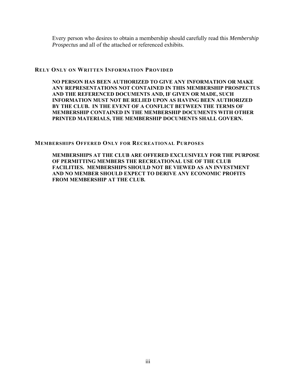Every person who desires to obtain a membership should carefully read this *Membership Prospectus* and all of the attached or referenced exhibits.

#### **RELY ONLY ON WRITTEN INFORMATION PROVIDED**

**NO PERSON HAS BEEN AUTHORIZED TO GIVE ANY INFORMATION OR MAKE ANY REPRESENTATIONS NOT CONTAINED IN THIS MEMBERSHIP PROSPECTUS AND THE REFERENCED DOCUMENTS AND, IF GIVEN OR MADE, SUCH INFORMATION MUST NOT BE RELIED UPON AS HAVING BEEN AUTHORIZED BY THE CLUB. IN THE EVENT OF A CONFLICT BETWEEN THE TERMS OF MEMBERSHIP CONTAINED IN THE MEMBERSHIP DOCUMENTS WITH OTHER PRINTED MATERIALS, THE MEMBERSHIP DOCUMENTS SHALL GOVERN.** 

#### **MEMBERSHIPS OFFERED ONLY FOR RECREATIONAL PURPOSES**

**MEMBERSHIPS AT THE CLUB ARE OFFERED EXCLUSIVELY FOR THE PURPOSE OF PERMITTING MEMBERS THE RECREATIONAL USE OF THE CLUB FACILITIES. MEMBERSHIPS SHOULD NOT BE VIEWED AS AN INVESTMENT AND NO MEMBER SHOULD EXPECT TO DERIVE ANY ECONOMIC PROFITS FROM MEMBERSHIP AT THE CLUB.**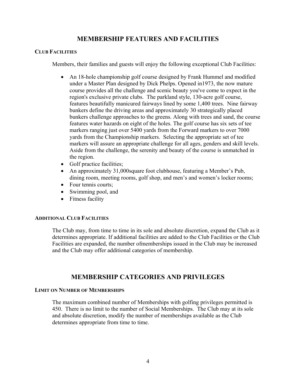# **MEMBERSHIP FEATURES AND FACILITIES**

## **CLUB FACILITIES**

Members, their families and guests will enjoy the following exceptional Club Facilities:

- An 18-hole championship golf course designed by Frank Hummel and modified under a Master Plan designed by Dick Phelps. Opened in1973, the now mature course provides all the challenge and scenic beauty you've come to expect in the region's exclusive private clubs. The parkland style, 130-acre golf course, features beautifully manicured fairways lined by some 1,400 trees. Nine fairway bunkers define the driving areas and approximately 30 strategically placed bunkers challenge approaches to the greens. Along with trees and sand, the course features water hazards on eight of the holes. The golf course has six sets of tee markers ranging just over 5400 yards from the Forward markers to over 7000 yards from the Championship markers. Selecting the appropriate set of tee markers will assure an appropriate challenge for all ages, genders and skill levels. Aside from the challenge, the serenity and beauty of the course is unmatched in the region.
- Golf practice facilities;
- An approximately 31,000square foot clubhouse, featuring a Member's Pub, dining room, meeting rooms, golf shop, and men's and women's locker rooms;
- Four tennis courts:
- Swimming pool, and
- Fitness facility

#### **ADDITIONAL CLUB FACILITIES**

The Club may, from time to time in its sole and absolute discretion, expand the Club as it determines appropriate. If additional facilities are added to the Club Facilities or the Club Facilities are expanded, the number ofmemberships issued in the Club may be increased and the Club may offer additional categories of membership.

# **MEMBERSHIP CATEGORIES AND PRIVILEGES**

#### **LIMIT ON NUMBER OF MEMBERSHIPS**

The maximum combined number of Memberships with golfing privileges permitted is 450. There is no limit to the number of Social Memberships. The Club may at its sole and absolute discretion, modify the number of memberships available as the Club determines appropriate from time to time.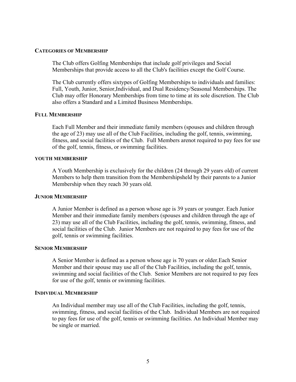#### **CATEGORIES OF MEMBERSHIP**

The Club offers Golfing Memberships that include golf privileges and Social Memberships that provide access to all the Club's facilities except the Golf Course.

The Club currently offers sixtypes of Golfing Memberships to individuals and families: Full, Youth, Junior, Senior,Individual, and Dual Residency/Seasonal Memberships. The Club may offer Honorary Memberships from time to time at its sole discretion. The Club also offers a Standard and a Limited Business Memberships.

#### **FULL MEMBERSHIP**

Each Full Member and their immediate family members (spouses and children through the age of 23) may use all of the Club Facilities, including the golf, tennis, swimming, fitness, and social facilities of the Club. Full Members arenot required to pay fees for use of the golf, tennis, fitness, or swimming facilities.

#### **YOUTH MEMBERSHIP**

A Youth Membership is exclusively for the children (24 through 29 years old) of current Members to help them transition from the Membershipsheld by their parents to a Junior Membership when they reach 30 years old.

#### **JUNIOR MEMBERSHIP**

A Junior Member is defined as a person whose age is 39 years or younger. Each Junior Member and their immediate family members (spouses and children through the age of 23) may use all of the Club Facilities, including the golf, tennis, swimming, fitness, and social facilities of the Club. Junior Members are not required to pay fees for use of the golf, tennis or swimming facilities.

#### **SENIOR MEMBERSHIP**

A Senior Member is defined as a person whose age is 70 years or older.Each Senior Member and their spouse may use all of the Club Facilities, including the golf, tennis, swimming and social facilities of the Club. Senior Members are not required to pay fees for use of the golf, tennis or swimming facilities.

#### **INDIVIDUAL MEMBERSHIP**

An Individual member may use all of the Club Facilities, including the golf, tennis, swimming, fitness, and social facilities of the Club. Individual Members are not required to pay fees for use of the golf, tennis or swimming facilities. An Individual Member may be single or married.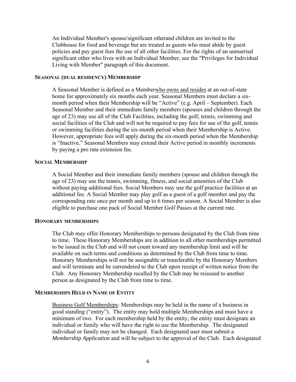An Individual Member's spouse/significant otherand children are invited to the Clubhouse for food and beverage but are treated as guests who must abide by guest policies and pay guest fees the use of all other facilities. For the rights of an unmarried significant other who lives with an Individual Member, see the "Privileges for Individual Living with Member" paragraph of this document.

#### **SEASONAL (DUAL RESIDENCY) MEMBERSHIP**

A Seasonal Member is defined as a Memberwho owns and resides at an out-of-state home for approximately six months each year. Seasonal Members must declare a sixmonth period when their Membership will be "Active" (e.g. April – September). Each Seasonal Member and their immediate family members (spouses and children through the age of 23) may use all of the Club Facilities, including the golf, tennis, swimming and social facilities of the Club and will not be required to pay fees for use of the golf, tennis or swimming facilities during the six-month period when their Membership is Active. However, appropriate fees will apply during the six-month period when the Membership is "Inactive." Seasonal Members may extend their Active period in monthly increments by paying a pro rata extension fee.

#### **SOCIAL MEMBERSHIP**

A Social Member and their immediate family members (spouse and children through the age of 23) may use the tennis, swimming, fitness, and social amenities of the Club without paying additional fees. Social Members may use the golf practice facilities at an additional fee. A Social Member may play golf as a guest of a golf member and pay the corresponding rate once per month and up to 6 times per season. A Social Member is also eligible to purchase one pack of Social Member Golf Passes at the current rate.

#### **HONORARY MEMBERSHIPS**

The Club may offer Honorary Memberships to persons designated by the Club from time to time. These Honorary Memberships are in addition to all other memberships permitted to be issued in the Club and will not count toward any membership limit and will be available on such terms and conditions as determined by the Club from time to time. Honorary Memberships will not be assignable or transferable by the Honorary Members and will terminate and be surrendered to the Club upon receipt of written notice from the Club. Any Honorary Membership recalled by the Club may be reissued to another person as designated by the Club from time to time.

#### **MEMBERSHIPS HELD IN NAME OF ENTITY**

Business Golf Memberships: Memberships may be held in the name of a business in good standing ("entity"). The entity may hold multiple Memberships and must have a minimum of two. For each membership held by the entity, the entity must designate an individual or family who will have the right to use the Membership. The designated individual or family may not be changed. Each designated user must submit a *Membership Application* and will be subject to the approval of the Club. Each designated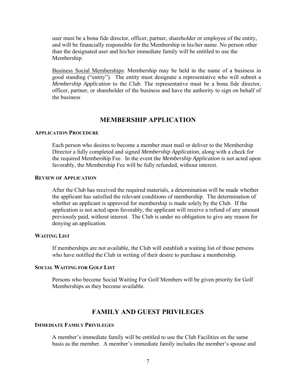user must be a bona fide director, officer, partner, shareholder or employee of the entity, and will be financially responsible for the Membership in his/her name. No person other than the designated user and his/her immediate family will be entitled to use the Membership.

Business Social Memberships: Membership may be held in the name of a business in good standing ("entity"). The entity must designate a representative who will submit a *Membership Application* to the Club. The representative must be a bona fide director, officer, partner, or shareholder of the business and have the authority to sign on behalf of the business

## **MEMBERSHIP APPLICATION**

#### **APPLICATION PROCEDURE**

Each person who desires to become a member must mail or deliver to the Membership Director a fully completed and signed *Membership Application*, along with a check for the required Membership Fee. In the event the *Membership Application* is not acted upon favorably, the Membership Fee will be fully refunded, without interest.

#### **REVIEW OF APPLICATION**

After the Club has received the required materials, a determination will be made whether the applicant has satisfied the relevant conditions of membership. The determination of whether an applicant is approved for membership is made solely by the Club. If the application is not acted upon favorably, the applicant will receive a refund of any amount previously paid, without interest. The Club is under no obligation to give any reason for denying an application.

#### **WAITING LIST**

If memberships are not available, the Club will establish a waiting list of those persons who have notified the Club in writing of their desire to purchase a membership.

#### **SOCIAL WAITING FOR GOLF LIST**

Persons who become Social Waiting For Golf Members will be given priority for Golf Memberships as they become available.

## **FAMILY AND GUEST PRIVILEGES**

#### **IMMEDIATE FAMILY PRIVILEGES**

A member's immediate family will be entitled to use the Club Facilities on the same basis as the member. A member's immediate family includes the member's spouse and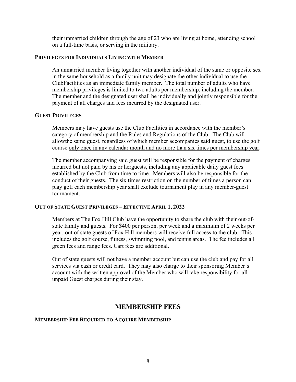their unmarried children through the age of 23 who are living at home, attending school on a full-time basis, or serving in the military.

#### **PRIVILEGES FOR INDIVIDUALS LIVING WITH MEMBER**

An unmarried member living together with another individual of the same or opposite sex in the same household as a family unit may designate the other individual to use the ClubFacilities as an immediate family member. The total number of adults who have membership privileges is limited to two adults per membership, including the member. The member and the designated user shall be individually and jointly responsible for the payment of all charges and fees incurred by the designated user.

#### **GUEST PRIVILEGES**

Members may have guests use the Club Facilities in accordance with the member's category of membership and the Rules and Regulations of the Club. The Club will allowthe same guest, regardless of which member accompanies said guest, to use the golf course only once in any calendar month and no more than six times per membership year.

The member accompanying said guest will be responsible for the payment of charges incurred but not paid by his or herguests, including any applicable daily guest fees established by the Club from time to time. Members will also be responsible for the conduct of their guests. The six times restriction on the number of times a person can play golf each membership year shall exclude tournament play in any member-guest tournament.

#### **OUT OF STATE GUEST PRIVILEGES – EFFECTIVE APRIL 1, 2022**

Members at The Fox Hill Club have the opportunity to share the club with their out-ofstate family and guests. For \$400 per person, per week and a maximum of 2 weeks per year, out of state guests of Fox Hill members will receive full access to the club. This includes the golf course, fitness, swimming pool, and tennis areas. The fee includes all green fees and range fees. Cart fees are additional.

Out of state guests will not have a member account but can use the club and pay for all services via cash or credit card. They may also charge to their sponsoring Member's account with the written approval of the Member who will take responsibility for all unpaid Guest charges during their stay.

## **MEMBERSHIP FEES**

#### **MEMBERSHIP FEE REQUIRED TO ACQUIRE MEMBERSHIP**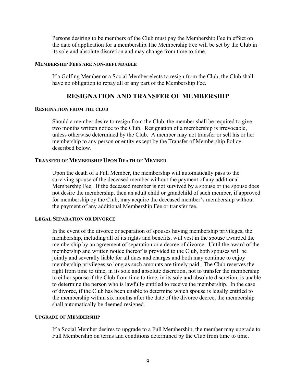Persons desiring to be members of the Club must pay the Membership Fee in effect on the date of application for a membership.The Membership Fee will be set by the Club in its sole and absolute discretion and may change from time to time.

#### **MEMBERSHIP FEES ARE NON-REFUNDABLE**

If a Golfing Member or a Social Member elects to resign from the Club, the Club shall have no obligation to repay all or any part of the Membership Fee.

## **RESIGNATION AND TRANSFER OF MEMBERSHIP**

#### **RESIGNATION FROM THE CLUB**

Should a member desire to resign from the Club, the member shall be required to give two months written notice to the Club. Resignation of a membership is irrevocable, unless otherwise determined by the Club. A member may not transfer or sell his or her membership to any person or entity except by the Transfer of Membership Policy described below.

#### **TRANSFER OF MEMBERSHIP UPON DEATH OF MEMBER**

Upon the death of a Full Member, the membership will automatically pass to the surviving spouse of the deceased member without the payment of any additional Membership Fee. If the deceased member is not survived by a spouse or the spouse does not desire the membership, then an adult child or grandchild of such member, if approved for membership by the Club, may acquire the deceased member's membership without the payment of any additional Membership Fee or transfer fee.

#### **LEGAL SEPARATION OR DIVORCE**

In the event of the divorce or separation of spouses having membership privileges, the membership, including all of its rights and benefits, will vest in the spouse awarded the membership by an agreement of separation or a decree of divorce. Until the award of the membership and written notice thereof is provided to the Club, both spouses will be jointly and severally liable for all dues and charges and both may continue to enjoy membership privileges so long as such amounts are timely paid. The Club reserves the right from time to time, in its sole and absolute discretion, not to transfer the membership to either spouse if the Club from time to time, in its sole and absolute discretion, is unable to determine the person who is lawfully entitled to receive the membership. In the case of divorce, if the Club has been unable to determine which spouse is legally entitled to the membership within six months after the date of the divorce decree, the membership shall automatically be deemed resigned.

#### **UPGRADE OF MEMBERSHIP**

If a Social Member desires to upgrade to a Full Membership, the member may upgrade to Full Membership on terms and conditions determined by the Club from time to time.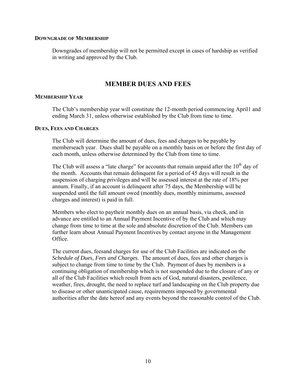#### **DOWNGRADE OF MEMBERSHIP**

Downgrades of membership will not be permitted except in cases of hardship as verified in writing and approved by the Club.

## **MEMBER DUES AND FEES**

#### **MEMBERSHIP YEAR**

The Club's membership year will constitute the 12-month period commencing April1 and ending March 31, unless otherwise established by the Club from time to time.

#### **DUES, FEES AND CHARGES**

The Club will determine the amount of dues, fees and charges to be payable by memberseach year. Dues shall be payable on a monthly basis on or before the first day of each month, unless otherwise determined by the Club from time to time.

The Club will assess a "late charge" for accounts that remain unpaid after the  $10<sup>th</sup>$  day of the month. Accounts that remain delinquent for a period of 45 days will result in the suspension of charging privileges and will be assessed interest at the rate of 18% per annum. Finally, if an account is delinquent after 75 days, the Membership will be suspended until the full amount owed (monthly dues, monthly minimums, assessed charges and interest) is paid in full.

Members who elect to paytheir monthly dues on an annual basis, via check, and in advance are entitled to an Annual Payment Incentive of by the Club and which may change from time to time at the sole and absolute discretion of the Club. Members can further learn about Annual Payment Incentives by contact anyone in the Management Office.

The current dues, feesand charges for use of the Club Facilities are indicated on the *Schedule of Dues, Fees and Charges*. The amount of dues, fees and other charges is subject to change from time to time by the Club. Payment of dues by members is a continuing obligation of membership which is not suspended due to the closure of any or all of the Club Facilities which result from acts of God, natural disasters, pestilence, weather, fires, drought, the need to replace turf and landscaping on the Club property due to disease or other unanticipated cause, requirements imposed by governmental authorities after the date hereof and any events beyond the reasonable control of the Club.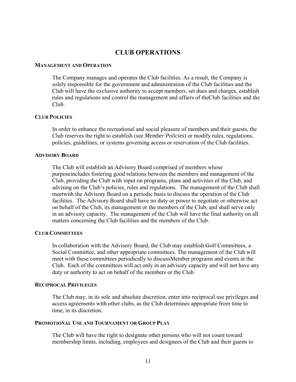## **CLUB OPERATIONS**

#### **MANAGEMENT AND OPERATION**

The Company manages and operates the Club facilities. As a result, the Company is solely responsible for the government and administration of the Club facilities and the Club will have the exclusive authority to accept members, set dues and charges, establish rules and regulations and control the management and affairs of theClub facilities and the Club.

#### **CLUB POLICIES**

In order to enhance the recreational and social pleasure of members and their guests, the Club reserves the right to establish (see *Member Policies*) or modify rules, regulations, policies, guidelines, or systems governing access or reservation of the Club facilities.

#### **ADVISORY BOARD**

The Club will establish an Advisory Board comprised of members whose purposeincludes fostering good relations between the members and management of the Club, providing the Club with input on programs, plans and activities of the Club, and advising on the Club's policies, rules and regulations. The management of the Club shall meetwith the Advisory Board on a periodic basis to discuss the operation of the Club facilities. The Advisory Board shall have no duty or power to negotiate or otherwise act on behalf of the Club, its management or the members of the Club, and shall serve only in an advisory capacity. The management of the Club will have the final authority on all matters concerning the Club facilities and the members of the Club.

#### **CLUB COMMITTEES**

In collaboration with the Advisory Board, the Club may establish Golf Committees, a Social Committee, and other appropriate committees. The management of the Club will meet with these committees periodically to discussMember programs and events at the Club. Each of the committees will act only in an advisory capacity and will not have any duty or authority to act on behalf of the members or the Club.

#### **RECIPROCAL PRIVILEGES**

The Club may, in its sole and absolute discretion, enter into reciprocal use privileges and access agreements with other clubs, as the Club determines appropriate from time to time, in its discretion.

#### **PROMOTIONAL USE AND TOURNAMENT OR GROUP PLAY**

The Club will have the right to designate other persons who will not count toward membership limits, including, employees and designees of the Club and their guests to